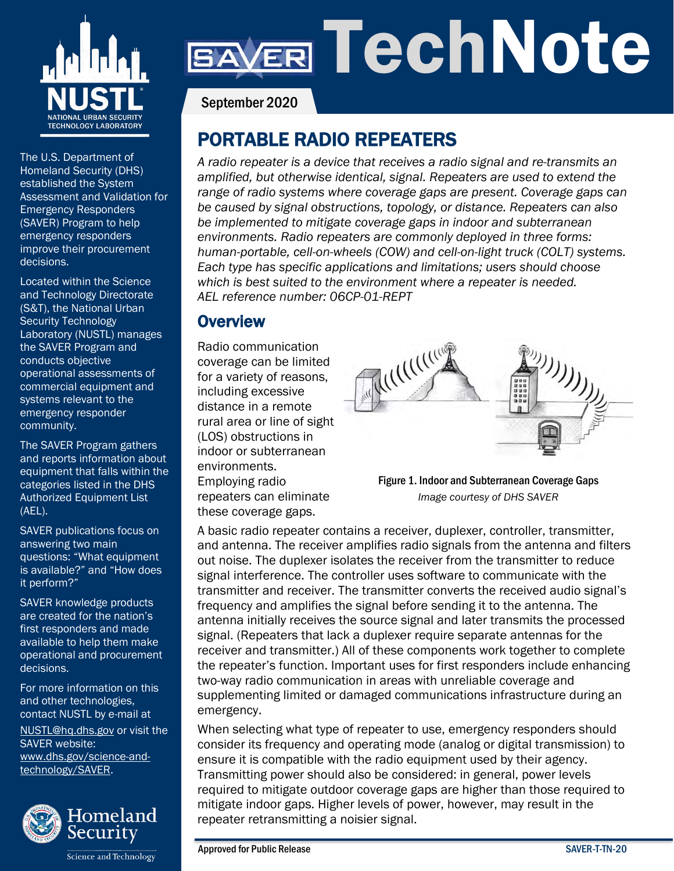

The U.S. Department of Homeland Security (DHS) established the System Assessment and Validation for Emergency Responders (SAVER) Program to help emergency responders improve their procurement decisions.

Located within the Science and Technology Directorate (S&T), the National Urban Security Technology Laboratory (NUSTL) manages the SAVER Program and conducts objective operational assessments of commercial equipment and systems relevant to the emergency responder community.

The SAVER Program gathers and reports information about equipment that falls within the categories listed in the DHS Authorized Equipment List (AEL).

SAVER publications focus on answering two main questions: "What equipment is available?" and "How does it perform?"

SAVER knowledge products are created for the nation's first responders and made available to help them make operational and procurement decisions.

For more information on this and other technologies, contact NUSTL by e-mail at [NUSTL@hq.dhs.gov](mailto:NUSTL@hq.dhs.gov) or visit the SAVER website: [www.dhs.gov/science-and](http://www.dhs.gov/science-and-technology/SAVER)[technology/SAVER.](http://www.dhs.gov/science-and-technology/SAVER)



Science and Technology

# ER TechNote

September 2020

## PORTABLE RADIO REPEATERS

*A radio repeater is a device that receives a radio signal and re-transmits an amplified, but otherwise identical, signal. Repeaters are used to extend the range of radio systems where coverage gaps are present. Coverage gaps can be caused by signal obstructions, topology, or distance. Repeaters can also be implemented to mitigate coverage gaps in indoor and subterranean environments. Radio repeaters are commonly deployed in three forms: human-portable, cell-on-wheels (COW) and cell-on-light truck (COLT) systems. Each type has specific applications and limitations; users should choose which is best suited to the environment where a repeater is needed. AEL reference number: 06CP-01-REPT*

## **Overview**

Radio communication coverage can be limited for a variety of reasons, including excessive distance in a remote rural area or line of sight (LOS) obstructions in indoor or subterranean environments. Employing radio repeaters can eliminate these coverage gaps.



Figure 1. Indoor and Subterranean Coverage Gaps *Image courtesy of DHS SAVER*

A basic radio repeater contains a receiver, duplexer, controller, transmitter, and antenna. The receiver amplifies radio signals from the antenna and filters out noise. The duplexer isolates the receiver from the transmitter to reduce signal interference. The controller uses software to communicate with the transmitter and receiver. The transmitter converts the received audio signal's frequency and amplifies the signal before sending it to the antenna. The antenna initially receives the source signal and later transmits the processed signal. (Repeaters that lack a duplexer require separate antennas for the receiver and transmitter.) All of these components work together to complete the repeater's function. Important uses for first responders include enhancing two-way radio communication in areas with unreliable coverage and supplementing limited or damaged communications infrastructure during an emergency.

When selecting what type of repeater to use, emergency responders should consider its frequency and operating mode (analog or digital transmission) to ensure it is compatible with the radio equipment used by their agency. Transmitting power should also be considered: in general, power levels required to mitigate outdoor coverage gaps are higher than those required to mitigate indoor gaps. Higher levels of power, however, may result in the repeater retransmitting a noisier signal.